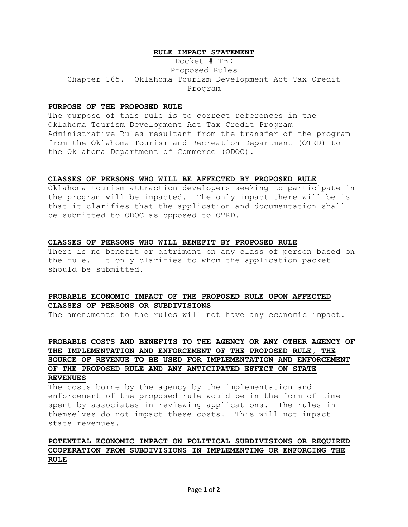### **RULE IMPACT STATEMENT**

Docket # TBD Proposed Rules Chapter 165. Oklahoma Tourism Development Act Tax Credit Program

### **PURPOSE OF THE PROPOSED RULE**

The purpose of this rule is to correct references in the Oklahoma Tourism Development Act Tax Credit Program Administrative Rules resultant from the transfer of the program from the Oklahoma Tourism and Recreation Department (OTRD) to the Oklahoma Department of Commerce (ODOC).

### **CLASSES OF PERSONS WHO WILL BE AFFECTED BY PROPOSED RULE**

Oklahoma tourism attraction developers seeking to participate in the program will be impacted. The only impact there will be is that it clarifies that the application and documentation shall be submitted to ODOC as opposed to OTRD.

### **CLASSES OF PERSONS WHO WILL BENEFIT BY PROPOSED RULE**

There is no benefit or detriment on any class of person based on the rule. It only clarifies to whom the application packet should be submitted.

# **PROBABLE ECONOMIC IMPACT OF THE PROPOSED RULE UPON AFFECTED CLASSES OF PERSONS OR SUBDIVISIONS**

The amendments to the rules will not have any economic impact.

**PROBABLE COSTS AND BENEFITS TO THE AGENCY OR ANY OTHER AGENCY OF THE IMPLEMENTATION AND ENFORCEMENT OF THE PROPOSED RULE, THE SOURCE OF REVENUE TO BE USED FOR IMPLEMENTATION AND ENFORCEMENT OF THE PROPOSED RULE AND ANY ANTICIPATED EFFECT ON STATE** 

## **REVENUES**

The costs borne by the agency by the implementation and enforcement of the proposed rule would be in the form of time spent by associates in reviewing applications. The rules in themselves do not impact these costs. This will not impact state revenues.

# **POTENTIAL ECONOMIC IMPACT ON POLITICAL SUBDIVISIONS OR REQUIRED COOPERATION FROM SUBDIVISIONS IN IMPLEMENTING OR ENFORCING THE RULE**